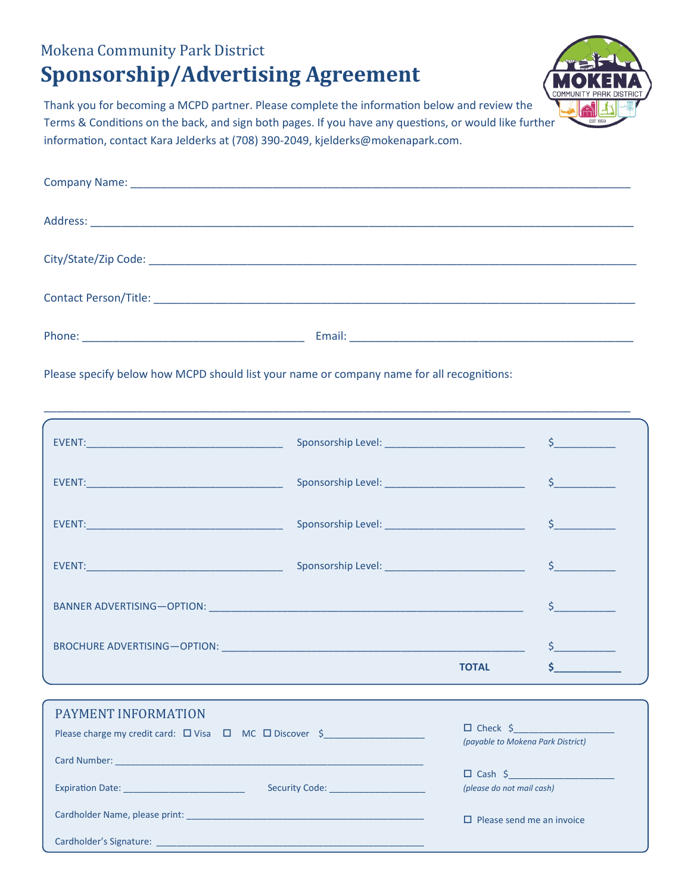## Mokena Community Park District **Sponsorship/Advertising Agreement**



Thank you for becoming a MCPD partner. Please complete the information below and review the Terms & Conditions on the back, and sign both pages. If you have any questions, or would like further information, contact Kara Jelderks at (708) 390-2049, kjelderks@mokenapark.com.

\_\_\_\_\_\_\_\_\_\_\_\_\_\_\_\_\_\_\_\_\_\_\_\_\_\_\_\_\_\_\_\_\_\_\_\_\_\_\_\_\_\_\_\_\_\_\_\_\_\_\_\_\_\_\_\_\_\_\_\_\_\_\_\_\_\_\_\_\_\_\_\_\_\_\_\_\_\_\_\_\_\_\_\_\_\_\_\_\_\_\_\_\_\_\_

Please specify below how MCPD should list your name or company name for all recognitions:

| EVENT: New York State State State State State State State State State State State State State State State State State State State State State State State State State State State State State State State State State State St |              |  |
|--------------------------------------------------------------------------------------------------------------------------------------------------------------------------------------------------------------------------------|--------------|--|
|                                                                                                                                                                                                                                |              |  |
|                                                                                                                                                                                                                                |              |  |
|                                                                                                                                                                                                                                | <b>TOTAL</b> |  |
|                                                                                                                                                                                                                                |              |  |

| <b>PAYMENT INFORMATION</b><br>Please charge my credit card: $\Box$ Visa $\Box$ MC $\Box$ Discover $\Diamond$ | $\Box$ Check $\Diamond$<br>(payable to Mokena Park District) |
|--------------------------------------------------------------------------------------------------------------|--------------------------------------------------------------|
|                                                                                                              |                                                              |
|                                                                                                              | $\square$ Cash $\zeta$                                       |
| Expiration Date: ____________________________<br>Security Code: ____________________                         | (please do not mail cash)                                    |
|                                                                                                              | $\Box$ Please send me an invoice                             |
|                                                                                                              |                                                              |